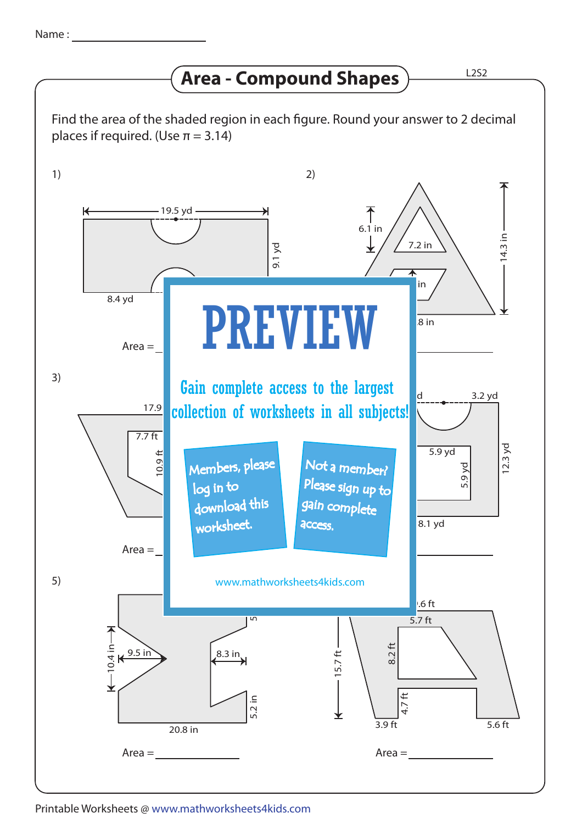## **Area - Compound Shapes**

Find the area of the shaded region in each figure. Round your answer to 2 decimal places if required. (Use  $\pi = 3.14$ )



Printable Worksheets @ www.mathworksheets4kids.com